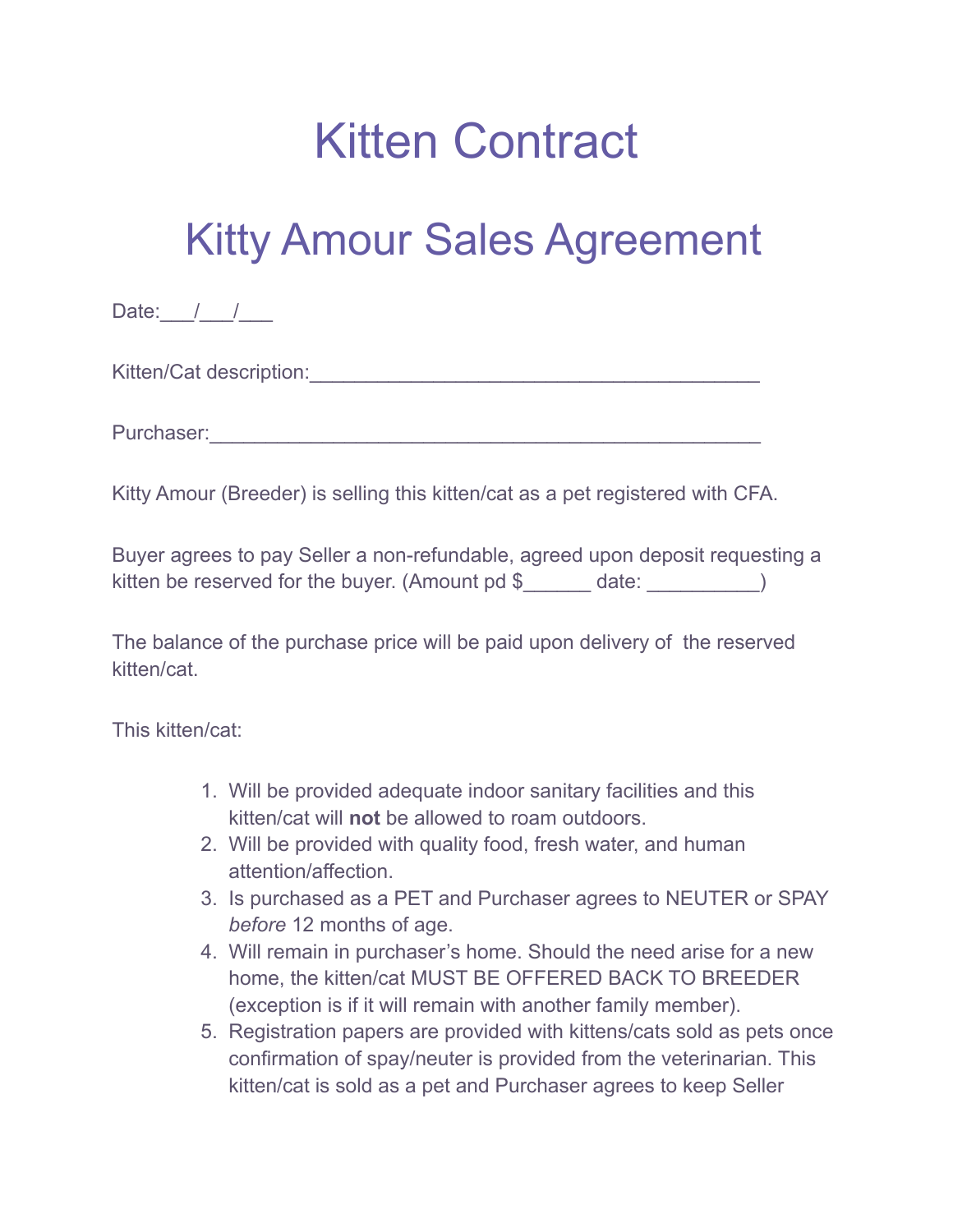## Kitten Contract

## Kitty Amour Sales Agreement

Date:  $/$  /

Kitten/Cat description:\_\_\_\_\_\_\_\_\_\_\_\_\_\_\_\_\_\_\_\_\_\_\_\_\_\_\_\_\_\_\_\_\_\_\_\_\_\_\_\_

Purchaser:\_\_\_\_\_\_\_\_\_\_\_\_\_\_\_\_\_\_\_\_\_\_\_\_\_\_\_\_\_\_\_\_\_\_\_\_\_\_\_\_\_\_\_\_\_\_\_\_\_

Kitty Amour (Breeder) is selling this kitten/cat as a pet registered with CFA.

Buyer agrees to pay Seller a non-refundable, agreed upon deposit requesting a kitten be reserved for the buyer. (Amount pd \$\_\_\_\_\_\_ date: \_\_\_\_\_\_\_\_\_)

The balance of the purchase price will be paid upon delivery of the reserved kitten/cat.

This kitten/cat:

- 1. Will be provided adequate indoor sanitary facilities and this kitten/cat will **not** be allowed to roam outdoors.
- 2. Will be provided with quality food, fresh water, and human attention/affection.
- 3. Is purchased as a PET and Purchaser agrees to NEUTER or SPAY *before* 12 months of age.
- 4. Will remain in purchaser's home. Should the need arise for a new home, the kitten/cat MUST BE OFFERED BACK TO BREEDER (exception is if it will remain with another family member).
- 5. Registration papers are provided with kittens/cats sold as pets once confirmation of spay/neuter is provided from the veterinarian. This kitten/cat is sold as a pet and Purchaser agrees to keep Seller